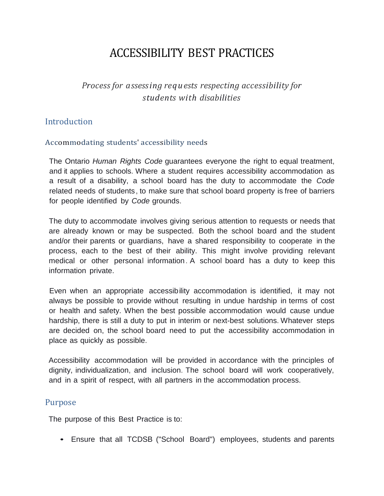# ACCESSIBILITY BEST PRACTICES

## *Process for assessing requests respecting accessibility for students with disabilities*

### Introduction

#### Accommodating students' accessibility needs

The Ontario *Human Rights Code* guarantees everyone the right to equal treatment, and it applies to schools. Where a student requires accessibility accommodation as a result of a disability, a school board has the duty to accommodate the *Code* related needs of students, to make sure that school board property is free of barriers for people identified by *Code* grounds.

The duty to accommodate involves giving serious attention to requests or needs that are already known or may be suspected. Both the school board and the student and/or their parents or guardians, have a shared responsibility to cooperate in the process, each to the best of their ability. This might involve providing relevant medical or other personal information. A school board has a duty to keep this information private.

Even when an appropriate accessibility accommodation is identified, it may not always be possible to provide without resulting in undue hardship in terms of cost or health and safety. When the best possible accommodation would cause undue hardship, there is still a duty to put in interim or next-best solutions. Whatever steps are decided on, the school board need to put the accessibility accommodation in place as quickly as possible.

Accessibility accommodation will be provided in accordance with the principles of dignity, individualization, and inclusion. The school board will work cooperatively, and in a spirit of respect, with all partners in the accommodation process.

#### Purpose

The purpose of this Best Practice is to:

• Ensure that all TCDSB ("School Board") employees, students and parents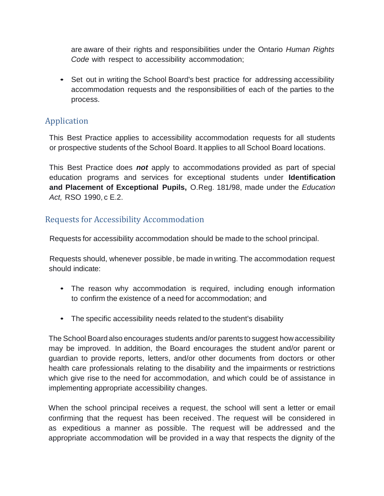are aware of their rights and responsibilities under the Ontario *Human Rights Code* with respect to accessibility accommodation;

• Set out in writing the School Board's best practice for addressing accessibility accommodation requests and the responsibilities of each of the parties to the process.

## Application

This Best Practice applies to accessibility accommodation requests for all students or prospective students of the School Board. It applies to all School Board locations.

This Best Practice does *not* apply to accommodations provided as part of special education programs and services for exceptional students under **Identification and Placement of Exceptional Pupils,** O.Reg. 181/98, made under the *Education Act,* RSO 1990, c E.2.

## Requests for Accessibility Accommodation

Requests for accessibility accommodation should be made to the school principal.

Requests should, whenever possible, be made in writing. The accommodation request should indicate:

- The reason why accommodation is required, including enough information to confirm the existence of a need for accommodation; and
- The specific accessibility needs related to the student's disability

The School Board also encourages students and/or parents to suggest how accessibility may be improved. In addition, the Board encourages the student and/or parent or guardian to provide reports, letters, and/or other documents from doctors or other health care professionals relating to the disability and the impairments or restrictions which give rise to the need for accommodation, and which could be of assistance in implementing appropriate accessibility changes.

When the school principal receives a request, the school will sent a letter or email confirming that the request has been received. The request will be considered in as expeditious a manner as possible. The request will be addressed and the appropriate accommodation will be provided in a way that respects the dignity of the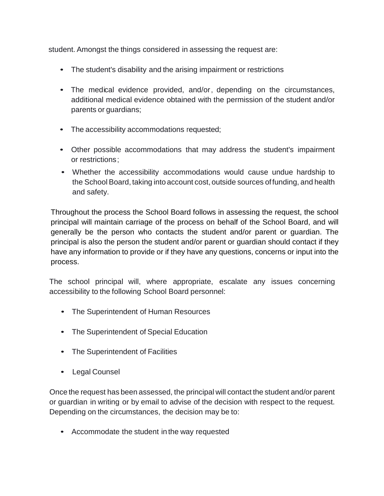student. Amongst the things considered in assessing the request are:

- The student's disability and the arising impairment or restrictions
- The medical evidence provided, and/or, depending on the circumstances, additional medical evidence obtained with the permission of the student and/or parents or guardians;
- The accessibility accommodations requested;
- Other possible accommodations that may address the student's impairment or restrictions;
- Whether the accessibility accommodations would cause undue hardship to the School Board, taking into account cost, outside sources offunding, and health and safety.

Throughout the process the School Board follows in assessing the request, the school principal will maintain carriage of the process on behalf of the School Board, and will generally be the person who contacts the student and/or parent or guardian. The principal is also the person the student and/or parent or guardian should contact if they have any information to provide or if they have any questions, concerns or input into the process.

The school principal will, where appropriate, escalate any issues concerning accessibility to the following School Board personnel:

- The Superintendent of Human Resources
- The Superintendent of Special Education
- The Superintendent of Facilities
- Legal Counsel

Once the request has been assessed, the principal will contact the student and/or parent or guardian in writing or by email to advise of the decision with respect to the request. Depending on the circumstances, the decision may be to:

• Accommodate the student in the way requested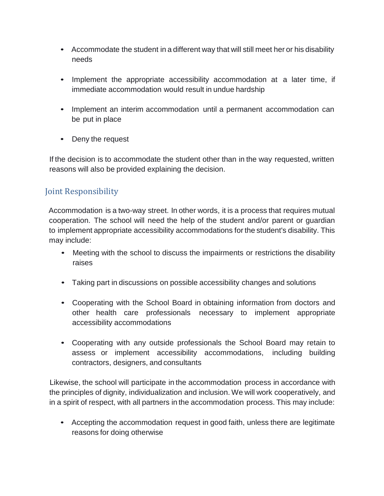- Accommodate the student in a different way that will still meet her or his disability needs
- Implement the appropriate accessibility accommodation at a later time, if immediate accommodation would result in undue hardship
- Implement an interim accommodation until a permanent accommodation can be put in place
- Deny the request

If the decision is to accommodate the student other than in the way requested, written reasons will also be provided explaining the decision.

## Joint Responsibility

Accommodation is a two-way street. In other words, it is a process that requires mutual cooperation. The school will need the help of the student and/or parent or guardian to implement appropriate accessibility accommodations for the student's disability. This may include:

- Meeting with the school to discuss the impairments or restrictions the disability raises
- Taking part in discussions on possible accessibility changes and solutions
- Cooperating with the School Board in obtaining information from doctors and other health care professionals necessary to implement appropriate accessibility accommodations
- Cooperating with any outside professionals the School Board may retain to assess or implement accessibility accommodations, including building contractors, designers, and consultants

Likewise, the school will participate in the accommodation process in accordance with the principles of dignity, individualization and inclusion. We will work cooperatively, and in a spirit of respect, with all partners in the accommodation process. This may include:

• Accepting the accommodation request in good faith, unless there are legitimate reasons for doing otherwise